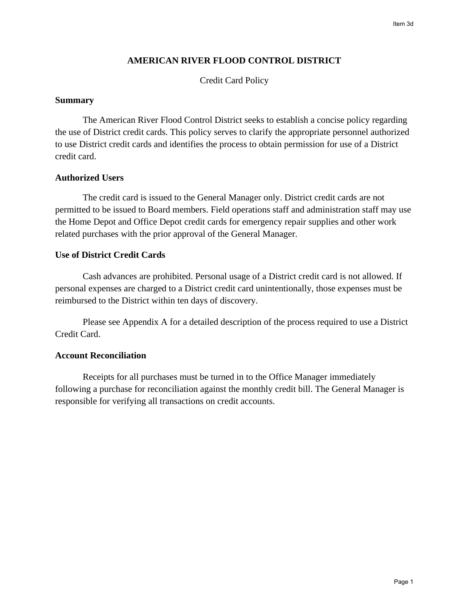### **AMERICAN RIVER FLOOD CONTROL DISTRICT**

Credit Card Policy

#### **Summary**

The American River Flood Control District seeks to establish a concise policy regarding the use of District credit cards. This policy serves to clarify the appropriate personnel authorized to use District credit cards and identifies the process to obtain permission for use of a District credit card.

### **Authorized Users**

The credit card is issued to the General Manager only. District credit cards are not permitted to be issued to Board members. Field operations staff and administration staff may use the Home Depot and Office Depot credit cards for emergency repair supplies and other work related purchases with the prior approval of the General Manager.

#### **Use of District Credit Cards**

Cash advances are prohibited. Personal usage of a District credit card is not allowed. If personal expenses are charged to a District credit card unintentionally, those expenses must be reimbursed to the District within ten days of discovery.

Please see Appendix A for a detailed description of the process required to use a District Credit Card.

### **Account Reconciliation**

Receipts for all purchases must be turned in to the Office Manager immediately following a purchase for reconciliation against the monthly credit bill. The General Manager is responsible for verifying all transactions on credit accounts.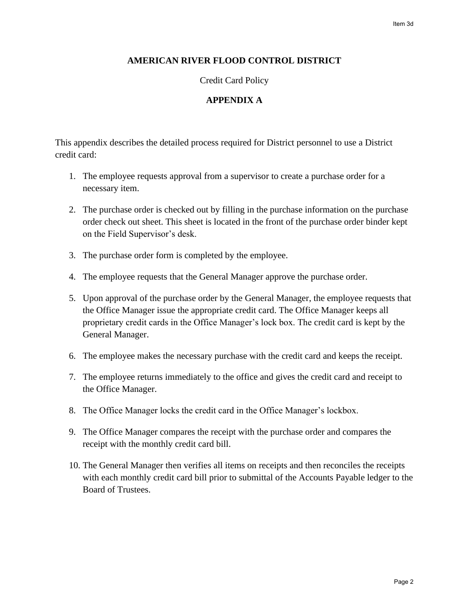### **AMERICAN RIVER FLOOD CONTROL DISTRICT**

Credit Card Policy

### **APPENDIX A**

This appendix describes the detailed process required for District personnel to use a District credit card:

- 1. The employee requests approval from a supervisor to create a purchase order for a necessary item.
- 2. The purchase order is checked out by filling in the purchase information on the purchase order check out sheet. This sheet is located in the front of the purchase order binder kept on the Field Supervisor's desk.
- 3. The purchase order form is completed by the employee.
- 4. The employee requests that the General Manager approve the purchase order.
- 5. Upon approval of the purchase order by the General Manager, the employee requests that the Office Manager issue the appropriate credit card. The Office Manager keeps all proprietary credit cards in the Office Manager's lock box. The credit card is kept by the General Manager.
- 6. The employee makes the necessary purchase with the credit card and keeps the receipt.
- 7. The employee returns immediately to the office and gives the credit card and receipt to the Office Manager.
- 8. The Office Manager locks the credit card in the Office Manager's lockbox.
- 9. The Office Manager compares the receipt with the purchase order and compares the receipt with the monthly credit card bill.
- 10. The General Manager then verifies all items on receipts and then reconciles the receipts with each monthly credit card bill prior to submittal of the Accounts Payable ledger to the Board of Trustees.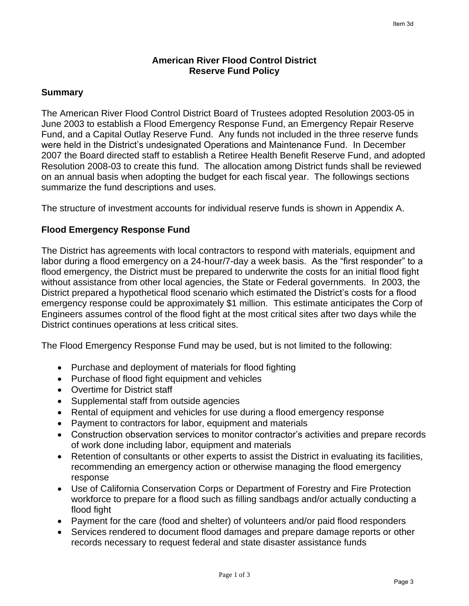### **American River Flood Control District Reserve Fund Policy**

### **Summary**

The American River Flood Control District Board of Trustees adopted Resolution 2003-05 in June 2003 to establish a Flood Emergency Response Fund, an Emergency Repair Reserve Fund, and a Capital Outlay Reserve Fund. Any funds not included in the three reserve funds were held in the District's undesignated Operations and Maintenance Fund. In December 2007 the Board directed staff to establish a Retiree Health Benefit Reserve Fund, and adopted Resolution 2008-03 to create this fund. The allocation among District funds shall be reviewed on an annual basis when adopting the budget for each fiscal year. The followings sections summarize the fund descriptions and uses.

The structure of investment accounts for individual reserve funds is shown in Appendix A.

### **Flood Emergency Response Fund**

The District has agreements with local contractors to respond with materials, equipment and labor during a flood emergency on a 24-hour/7-day a week basis. As the "first responder" to a flood emergency, the District must be prepared to underwrite the costs for an initial flood fight without assistance from other local agencies, the State or Federal governments. In 2003, the District prepared a hypothetical flood scenario which estimated the District's costs for a flood emergency response could be approximately \$1 million. This estimate anticipates the Corp of Engineers assumes control of the flood fight at the most critical sites after two days while the District continues operations at less critical sites.

The Flood Emergency Response Fund may be used, but is not limited to the following:

- Purchase and deployment of materials for flood fighting
- Purchase of flood fight equipment and vehicles
- Overtime for District staff
- Supplemental staff from outside agencies
- Rental of equipment and vehicles for use during a flood emergency response
- Payment to contractors for labor, equipment and materials
- Construction observation services to monitor contractor's activities and prepare records of work done including labor, equipment and materials
- Retention of consultants or other experts to assist the District in evaluating its facilities, recommending an emergency action or otherwise managing the flood emergency response
- Use of California Conservation Corps or Department of Forestry and Fire Protection workforce to prepare for a flood such as filling sandbags and/or actually conducting a flood fight
- Payment for the care (food and shelter) of volunteers and/or paid flood responders
- Services rendered to document flood damages and prepare damage reports or other records necessary to request federal and state disaster assistance funds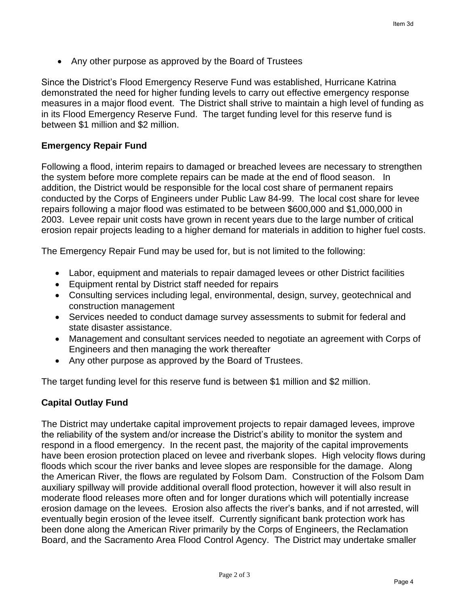• Any other purpose as approved by the Board of Trustees

Since the District's Flood Emergency Reserve Fund was established, Hurricane Katrina demonstrated the need for higher funding levels to carry out effective emergency response measures in a major flood event. The District shall strive to maintain a high level of funding as in its Flood Emergency Reserve Fund. The target funding level for this reserve fund is between \$1 million and \$2 million.

# **Emergency Repair Fund**

Following a flood, interim repairs to damaged or breached levees are necessary to strengthen the system before more complete repairs can be made at the end of flood season. In addition, the District would be responsible for the local cost share of permanent repairs conducted by the Corps of Engineers under Public Law 84-99. The local cost share for levee repairs following a major flood was estimated to be between \$600,000 and \$1,000,000 in 2003. Levee repair unit costs have grown in recent years due to the large number of critical erosion repair projects leading to a higher demand for materials in addition to higher fuel costs.

The Emergency Repair Fund may be used for, but is not limited to the following:

- Labor, equipment and materials to repair damaged levees or other District facilities
- Equipment rental by District staff needed for repairs
- Consulting services including legal, environmental, design, survey, geotechnical and construction management
- Services needed to conduct damage survey assessments to submit for federal and state disaster assistance.
- Management and consultant services needed to negotiate an agreement with Corps of Engineers and then managing the work thereafter
- Any other purpose as approved by the Board of Trustees.

The target funding level for this reserve fund is between \$1 million and \$2 million.

# **Capital Outlay Fund**

The District may undertake capital improvement projects to repair damaged levees, improve the reliability of the system and/or increase the District's ability to monitor the system and respond in a flood emergency. In the recent past, the majority of the capital improvements have been erosion protection placed on levee and riverbank slopes. High velocity flows during floods which scour the river banks and levee slopes are responsible for the damage. Along the American River, the flows are regulated by Folsom Dam. Construction of the Folsom Dam auxiliary spillway will provide additional overall flood protection, however it will also result in moderate flood releases more often and for longer durations which will potentially increase erosion damage on the levees. Erosion also affects the river's banks, and if not arrested, will eventually begin erosion of the levee itself. Currently significant bank protection work has been done along the American River primarily by the Corps of Engineers, the Reclamation Board, and the Sacramento Area Flood Control Agency. The District may undertake smaller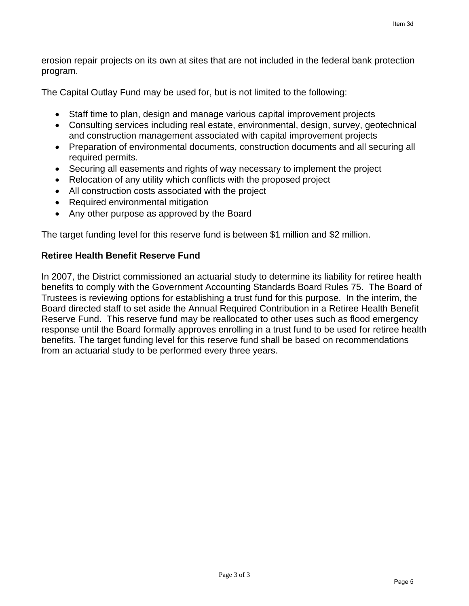erosion repair projects on its own at sites that are not included in the federal bank protection program.

The Capital Outlay Fund may be used for, but is not limited to the following:

- Staff time to plan, design and manage various capital improvement projects
- Consulting services including real estate, environmental, design, survey, geotechnical and construction management associated with capital improvement projects
- Preparation of environmental documents, construction documents and all securing all required permits.
- Securing all easements and rights of way necessary to implement the project
- Relocation of any utility which conflicts with the proposed project
- All construction costs associated with the project
- Required environmental mitigation
- Any other purpose as approved by the Board

The target funding level for this reserve fund is between \$1 million and \$2 million.

## **Retiree Health Benefit Reserve Fund**

In 2007, the District commissioned an actuarial study to determine its liability for retiree health benefits to comply with the Government Accounting Standards Board Rules 75. The Board of Trustees is reviewing options for establishing a trust fund for this purpose. In the interim, the Board directed staff to set aside the Annual Required Contribution in a Retiree Health Benefit Reserve Fund. This reserve fund may be reallocated to other uses such as flood emergency response until the Board formally approves enrolling in a trust fund to be used for retiree health benefits. The target funding level for this reserve fund shall be based on recommendations from an actuarial study to be performed every three years.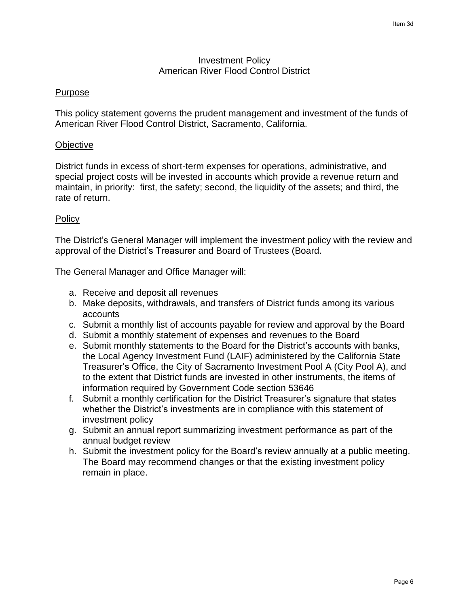### Investment Policy American River Flood Control District

### Purpose

This policy statement governs the prudent management and investment of the funds of American River Flood Control District, Sacramento, California.

### **Objective**

District funds in excess of short-term expenses for operations, administrative, and special project costs will be invested in accounts which provide a revenue return and maintain, in priority: first, the safety; second, the liquidity of the assets; and third, the rate of return.

#### **Policy**

The District's General Manager will implement the investment policy with the review and approval of the District's Treasurer and Board of Trustees (Board.

The General Manager and Office Manager will:

- a. Receive and deposit all revenues
- b. Make deposits, withdrawals, and transfers of District funds among its various accounts
- c. Submit a monthly list of accounts payable for review and approval by the Board
- d. Submit a monthly statement of expenses and revenues to the Board
- e. Submit monthly statements to the Board for the District's accounts with banks, the Local Agency Investment Fund (LAIF) administered by the California State Treasurer's Office, the City of Sacramento Investment Pool A (City Pool A), and to the extent that District funds are invested in other instruments, the items of information required by Government Code section 53646
- f. Submit a monthly certification for the District Treasurer's signature that states whether the District's investments are in compliance with this statement of investment policy
- g. Submit an annual report summarizing investment performance as part of the annual budget review
- h. Submit the investment policy for the Board's review annually at a public meeting. The Board may recommend changes or that the existing investment policy remain in place.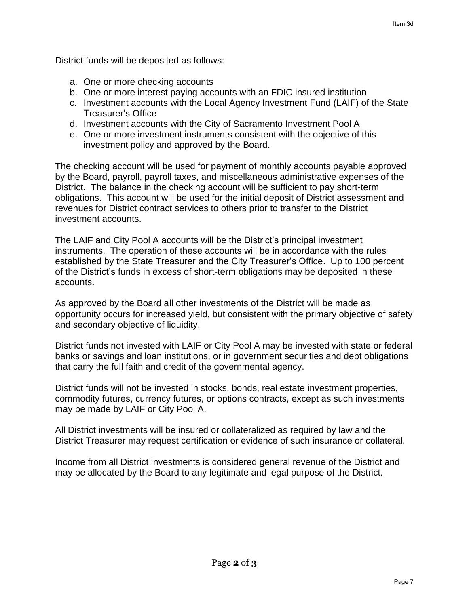District funds will be deposited as follows:

- a. One or more checking accounts
- b. One or more interest paying accounts with an FDIC insured institution
- c. Investment accounts with the Local Agency Investment Fund (LAIF) of the State Treasurer's Office
- d. Investment accounts with the City of Sacramento Investment Pool A
- e. One or more investment instruments consistent with the objective of this investment policy and approved by the Board.

The checking account will be used for payment of monthly accounts payable approved by the Board, payroll, payroll taxes, and miscellaneous administrative expenses of the District. The balance in the checking account will be sufficient to pay short-term obligations. This account will be used for the initial deposit of District assessment and revenues for District contract services to others prior to transfer to the District investment accounts.

The LAIF and City Pool A accounts will be the District's principal investment instruments. The operation of these accounts will be in accordance with the rules established by the State Treasurer and the City Treasurer's Office. Up to 100 percent of the District's funds in excess of short-term obligations may be deposited in these accounts.

As approved by the Board all other investments of the District will be made as opportunity occurs for increased yield, but consistent with the primary objective of safety and secondary objective of liquidity.

District funds not invested with LAIF or City Pool A may be invested with state or federal banks or savings and loan institutions, or in government securities and debt obligations that carry the full faith and credit of the governmental agency.

District funds will not be invested in stocks, bonds, real estate investment properties, commodity futures, currency futures, or options contracts, except as such investments may be made by LAIF or City Pool A.

All District investments will be insured or collateralized as required by law and the District Treasurer may request certification or evidence of such insurance or collateral.

Income from all District investments is considered general revenue of the District and may be allocated by the Board to any legitimate and legal purpose of the District.